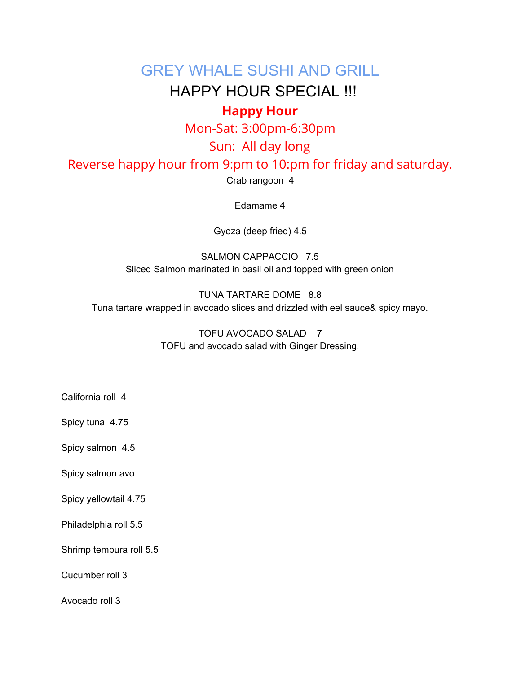### GREY WHALE SUSHI AND GRILL

## HAPPY HOUR SPECIAL !!!

### **Happy Hour**

Mon-Sat: 3:00pm-6:30pm

### Sun: All day long

Reverse happy hour from 9:pm to 10:pm for friday and saturday.

Crab rangoon 4

Edamame 4

Gyoza (deep fried) 4.5

SALMON CAPPACCIO 7.5 Sliced Salmon marinated in basil oil and topped with green onion

TUNA TARTARE DOME 8.8 Tuna tartare wrapped in avocado slices and drizzled with eel sauce& spicy mayo.

> TOFU AVOCADO SALAD 7 TOFU and avocado salad with Ginger Dressing.

- California roll 4
- Spicy tuna 4.75

Spicy salmon 4.5

Spicy salmon avo

Spicy yellowtail 4.75

Philadelphia roll 5.5

Shrimp tempura roll 5.5

Cucumber roll 3

Avocado roll 3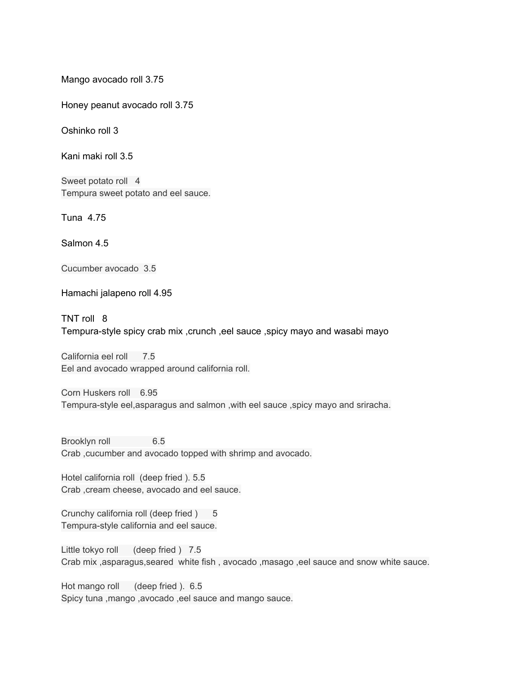Mango avocado roll 3.75

Honey peanut avocado roll 3.75

Oshinko roll 3

Kani maki roll 3.5

Sweet potato roll 4 Tempura sweet potato and eel sauce.

Tuna 4.75

Salmon 4.5

Cucumber avocado 3.5

Hamachi jalapeno roll 4.95

TNT roll 8 Tempura-style spicy crab mix ,crunch ,eel sauce ,spicy mayo and wasabi mayo

California eel roll 7.5 Eel and avocado wrapped around california roll.

Corn Huskers roll 6.95 Tempura-style eel,asparagus and salmon ,with eel sauce ,spicy mayo and sriracha.

Brooklyn roll 6.5 Crab ,cucumber and avocado topped with shrimp and avocado.

Hotel california roll (deep fried ). 5.5 Crab ,cream cheese, avocado and eel sauce.

Crunchy california roll (deep fried ) 5 Tempura-style california and eel sauce.

Little tokyo roll (deep fried ) 7.5 Crab mix ,asparagus,seared white fish , avocado ,masago ,eel sauce and snow white sauce.

Hot mango roll (deep fried ). 6.5 Spicy tuna ,mango ,avocado ,eel sauce and mango sauce.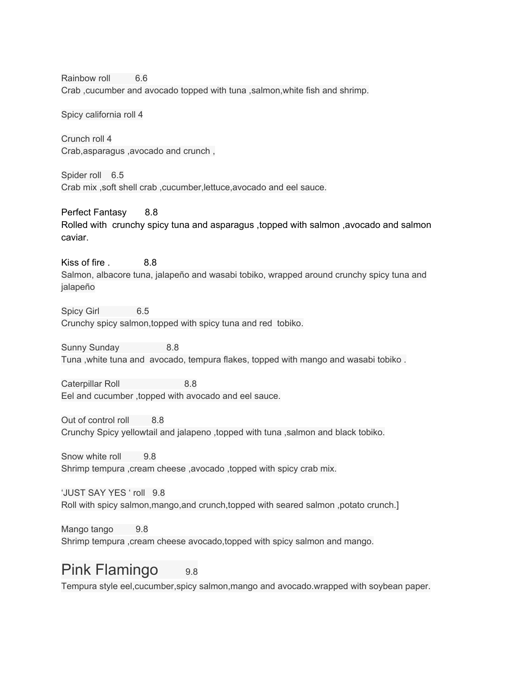Rainbow roll 6.6 Crab ,cucumber and avocado topped with tuna ,salmon,white fish and shrimp.

Spicy california roll 4

Crunch roll 4 Crab,asparagus ,avocado and crunch ,

Spider roll 6.5 Crab mix ,soft shell crab ,cucumber,lettuce,avocado and eel sauce.

Perfect Fantasy 8.8 Rolled with crunchy spicy tuna and asparagus ,topped with salmon ,avocado and salmon caviar.

Kiss of fire . 8.8 Salmon, albacore tuna, jalapeño and wasabi tobiko, wrapped around crunchy spicy tuna and jalapeño

Spicy Girl 6.5 Crunchy spicy salmon,topped with spicy tuna and red tobiko.

Sunny Sunday 8.8 Tuna ,white tuna and avocado, tempura flakes, topped with mango and wasabi tobiko .

Caterpillar Roll 8.8 Eel and cucumber ,topped with avocado and eel sauce.

Out of control roll 8.8 Crunchy Spicy yellowtail and jalapeno ,topped with tuna ,salmon and black tobiko.

Snow white roll 9.8 Shrimp tempura ,cream cheese ,avocado ,topped with spicy crab mix.

'JUST SAY YES ' roll 9.8 Roll with spicy salmon,mango,and crunch,topped with seared salmon ,potato crunch.]

Mango tango 9.8 Shrimp tempura ,cream cheese avocado,topped with spicy salmon and mango.

## Pink Flamingo 9.8

Tempura style eel,cucumber,spicy salmon,mango and avocado.wrapped with soybean paper.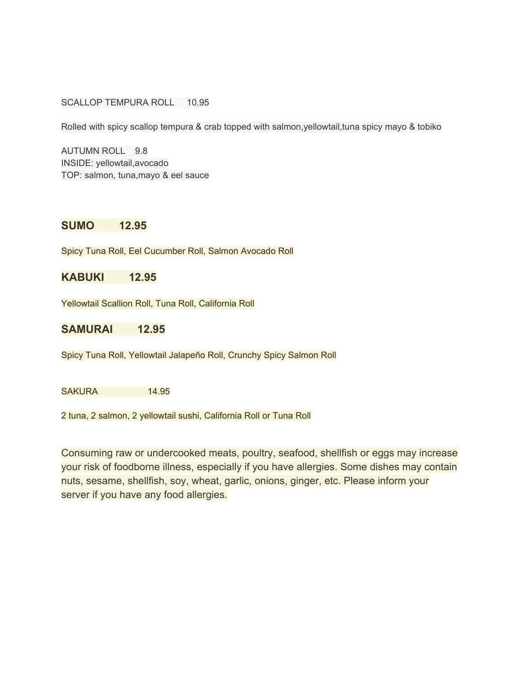SCALLOP TEMPURA ROLL 10.95

Rolled with spicy scallop tempura & crab topped with salmon,yellowtail,tuna spicy mayo & tobiko

AUTUMN ROLL 9.8 INSIDE: yellowtail,avocado TOP: salmon, tuna,mayo & eel sauce

#### **SUMO 12.95**

Spicy Tuna Roll, Eel Cucumber Roll, Salmon Avocado Roll

#### **KABUKI 12.95**

Yellowtail Scallion Roll, Tuna Roll, California Roll

**SAMURAI 12.95**

Spicy Tuna Roll, Yellowtail Jalapeño Roll, Crunchy Spicy Salmon Roll

SAKURA 14.95

2 tuna, 2 salmon, 2 yellowtail sushi, California Roll or Tuna Roll

Consuming raw or undercooked meats, poultry, seafood, shellfish or eggs may increase your risk of foodborne illness, especially if you have allergies. Some dishes may contain nuts, sesame, shellfish, soy, wheat, garlic, onions, ginger, etc. Please inform your server if you have any food allergies.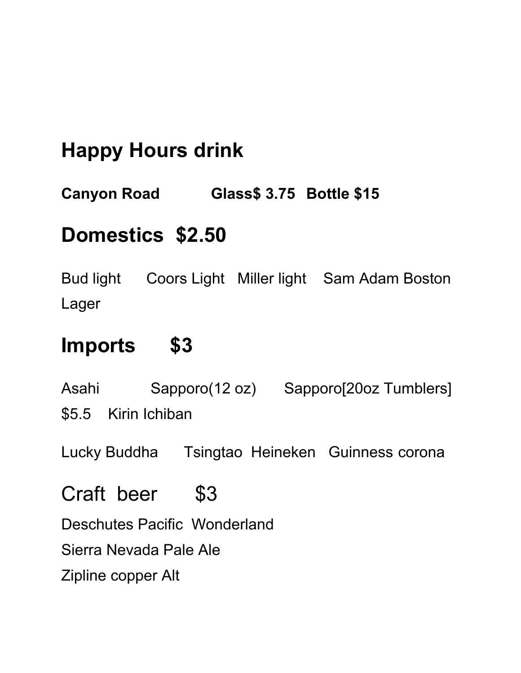# **Happy Hours drink**

**Canyon Road Glass\$ 3.75 Bottle \$15**

# **Domestics \$2.50**

Bud light Coors Light Miller light Sam Adam Boston Lager

# **Imports \$3**

Asahi Sapporo(12 oz) Sapporo[20oz Tumblers] \$5.5 Kirin Ichiban

Lucky Buddha Tsingtao Heineken Guinness corona

Craft beer \$3

Deschutes Pacific Wonderland

Sierra Nevada Pale Ale

Zipline copper Alt